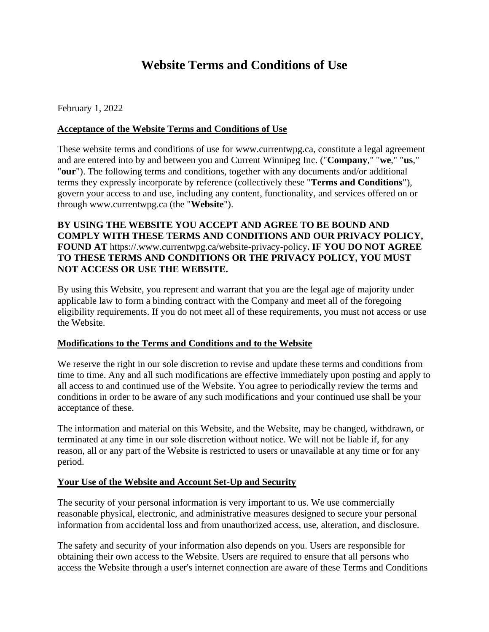# **Website Terms and Conditions of Use**

February 1, 2022

## **Acceptance of the Website Terms and Conditions of Use**

These website terms and conditions of use for www.currentwpg.ca, constitute a legal agreement and are entered into by and between you and Current Winnipeg Inc. ("**Company**," "**we**," "**us**," "**our**"). The following terms and conditions, together with any documents and/or additional terms they expressly incorporate by reference (collectively these "**Terms and Conditions**"), govern your access to and use, including any content, functionality, and services offered on or through www.currentwpg.ca (the "**Website**").

# **BY USING THE WEBSITE YOU ACCEPT AND AGREE TO BE BOUND AND COMPLY WITH THESE TERMS AND CONDITIONS AND OUR PRIVACY POLICY, FOUND AT** https://.www.currentwpg.ca/website-privacy-policy**. IF YOU DO NOT AGREE TO THESE TERMS AND CONDITIONS OR THE PRIVACY POLICY, YOU MUST NOT ACCESS OR USE THE WEBSITE.**

By using this Website, you represent and warrant that you are the legal age of majority under applicable law to form a binding contract with the Company and meet all of the foregoing eligibility requirements. If you do not meet all of these requirements, you must not access or use the Website.

### **Modifications to the Terms and Conditions and to the Website**

We reserve the right in our sole discretion to revise and update these terms and conditions from time to time. Any and all such modifications are effective immediately upon posting and apply to all access to and continued use of the Website. You agree to periodically review the terms and conditions in order to be aware of any such modifications and your continued use shall be your acceptance of these.

The information and material on this Website, and the Website, may be changed, withdrawn, or terminated at any time in our sole discretion without notice. We will not be liable if, for any reason, all or any part of the Website is restricted to users or unavailable at any time or for any period.

### **Your Use of the Website and Account Set-Up and Security**

The security of your personal information is very important to us. We use commercially reasonable physical, electronic, and administrative measures designed to secure your personal information from accidental loss and from unauthorized access, use, alteration, and disclosure.

The safety and security of your information also depends on you. Users are responsible for obtaining their own access to the Website. Users are required to ensure that all persons who access the Website through a user's internet connection are aware of these Terms and Conditions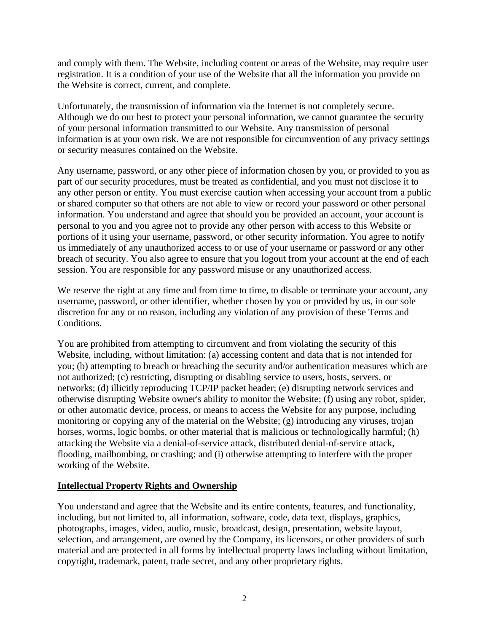and comply with them. The Website, including content or areas of the Website, may require user registration. It is a condition of your use of the Website that all the information you provide on the Website is correct, current, and complete.

Unfortunately, the transmission of information via the Internet is not completely secure. Although we do our best to protect your personal information, we cannot guarantee the security of your personal information transmitted to our Website. Any transmission of personal information is at your own risk. We are not responsible for circumvention of any privacy settings or security measures contained on the Website.

Any username, password, or any other piece of information chosen by you, or provided to you as part of our security procedures, must be treated as confidential, and you must not disclose it to any other person or entity. You must exercise caution when accessing your account from a public or shared computer so that others are not able to view or record your password or other personal information. You understand and agree that should you be provided an account, your account is personal to you and you agree not to provide any other person with access to this Website or portions of it using your username, password, or other security information. You agree to notify us immediately of any unauthorized access to or use of your username or password or any other breach of security. You also agree to ensure that you logout from your account at the end of each session. You are responsible for any password misuse or any unauthorized access.

We reserve the right at any time and from time to time, to disable or terminate your account, any username, password, or other identifier, whether chosen by you or provided by us, in our sole discretion for any or no reason, including any violation of any provision of these Terms and Conditions.

You are prohibited from attempting to circumvent and from violating the security of this Website, including, without limitation: (a) accessing content and data that is not intended for you; (b) attempting to breach or breaching the security and/or authentication measures which are not authorized; (c) restricting, disrupting or disabling service to users, hosts, servers, or networks; (d) illicitly reproducing TCP/IP packet header; (e) disrupting network services and otherwise disrupting Website owner's ability to monitor the Website; (f) using any robot, spider, or other automatic device, process, or means to access the Website for any purpose, including monitoring or copying any of the material on the Website; (g) introducing any viruses, trojan horses, worms, logic bombs, or other material that is malicious or technologically harmful; (h) attacking the Website via a denial-of-service attack, distributed denial-of-service attack, flooding, mailbombing, or crashing; and (i) otherwise attempting to interfere with the proper working of the Website.

### **Intellectual Property Rights and Ownership**

You understand and agree that the Website and its entire contents, features, and functionality, including, but not limited to, all information, software, code, data text, displays, graphics, photographs, images, video, audio, music, broadcast, design, presentation, website layout, selection, and arrangement, are owned by the Company, its licensors, or other providers of such material and are protected in all forms by intellectual property laws including without limitation, copyright, trademark, patent, trade secret, and any other proprietary rights.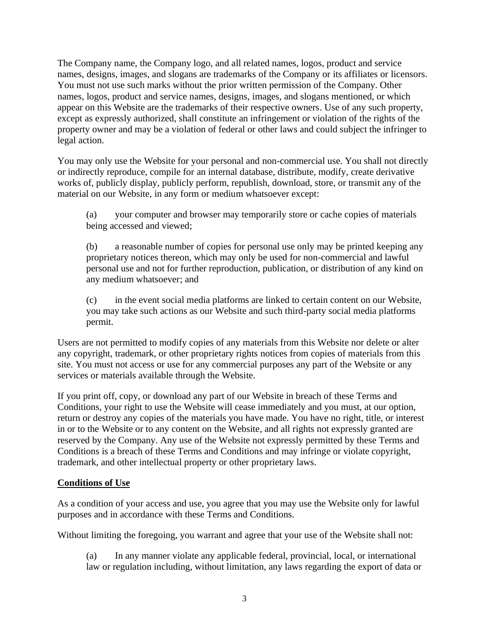The Company name, the Company logo, and all related names, logos, product and service names, designs, images, and slogans are trademarks of the Company or its affiliates or licensors. You must not use such marks without the prior written permission of the Company. Other names, logos, product and service names, designs, images, and slogans mentioned, or which appear on this Website are the trademarks of their respective owners. Use of any such property, except as expressly authorized, shall constitute an infringement or violation of the rights of the property owner and may be a violation of federal or other laws and could subject the infringer to legal action.

You may only use the Website for your personal and non-commercial use. You shall not directly or indirectly reproduce, compile for an internal database, distribute, modify, create derivative works of, publicly display, publicly perform, republish, download, store, or transmit any of the material on our Website, in any form or medium whatsoever except:

(a) your computer and browser may temporarily store or cache copies of materials being accessed and viewed;

(b) a reasonable number of copies for personal use only may be printed keeping any proprietary notices thereon, which may only be used for non-commercial and lawful personal use and not for further reproduction, publication, or distribution of any kind on any medium whatsoever; and

(c) in the event social media platforms are linked to certain content on our Website, you may take such actions as our Website and such third-party social media platforms permit.

Users are not permitted to modify copies of any materials from this Website nor delete or alter any copyright, trademark, or other proprietary rights notices from copies of materials from this site. You must not access or use for any commercial purposes any part of the Website or any services or materials available through the Website.

If you print off, copy, or download any part of our Website in breach of these Terms and Conditions, your right to use the Website will cease immediately and you must, at our option, return or destroy any copies of the materials you have made. You have no right, title, or interest in or to the Website or to any content on the Website, and all rights not expressly granted are reserved by the Company. Any use of the Website not expressly permitted by these Terms and Conditions is a breach of these Terms and Conditions and may infringe or violate copyright, trademark, and other intellectual property or other proprietary laws.

# **Conditions of Use**

As a condition of your access and use, you agree that you may use the Website only for lawful purposes and in accordance with these Terms and Conditions.

Without limiting the foregoing, you warrant and agree that your use of the Website shall not:

(a) In any manner violate any applicable federal, provincial, local, or international law or regulation including, without limitation, any laws regarding the export of data or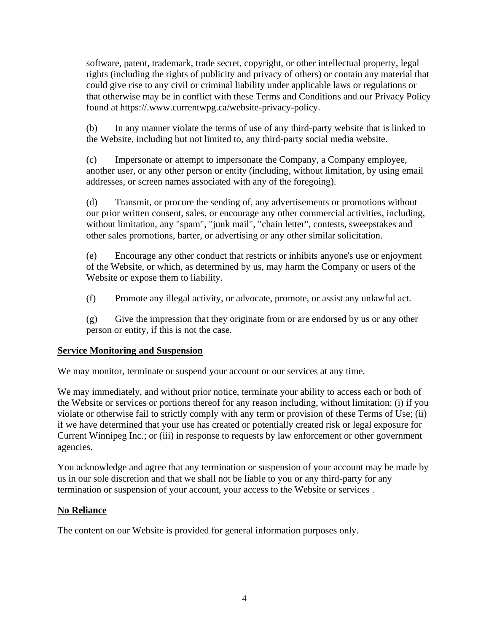software, patent, trademark, trade secret, copyright, or other intellectual property, legal rights (including the rights of publicity and privacy of others) or contain any material that could give rise to any civil or criminal liability under applicable laws or regulations or that otherwise may be in conflict with these Terms and Conditions and our Privacy Policy found at https://.www.currentwpg.ca/website-privacy-policy.

(b) In any manner violate the terms of use of any third-party website that is linked to the Website, including but not limited to, any third-party social media website.

(c) Impersonate or attempt to impersonate the Company, a Company employee, another user, or any other person or entity (including, without limitation, by using email addresses, or screen names associated with any of the foregoing).

(d) Transmit, or procure the sending of, any advertisements or promotions without our prior written consent, sales, or encourage any other commercial activities, including, without limitation, any "spam", "junk mail", "chain letter", contests, sweepstakes and other sales promotions, barter, or advertising or any other similar solicitation.

(e) Encourage any other conduct that restricts or inhibits anyone's use or enjoyment of the Website, or which, as determined by us, may harm the Company or users of the Website or expose them to liability.

(f) Promote any illegal activity, or advocate, promote, or assist any unlawful act.

(g) Give the impression that they originate from or are endorsed by us or any other person or entity, if this is not the case.

# **Service Monitoring and Suspension**

We may monitor, terminate or suspend your account or our services at any time.

We may immediately, and without prior notice, terminate your ability to access each or both of the Website or services or portions thereof for any reason including, without limitation: (i) if you violate or otherwise fail to strictly comply with any term or provision of these Terms of Use; (ii) if we have determined that your use has created or potentially created risk or legal exposure for Current Winnipeg Inc.; or (iii) in response to requests by law enforcement or other government agencies.

You acknowledge and agree that any termination or suspension of your account may be made by us in our sole discretion and that we shall not be liable to you or any third-party for any termination or suspension of your account, your access to the Website or services .

# **No Reliance**

The content on our Website is provided for general information purposes only.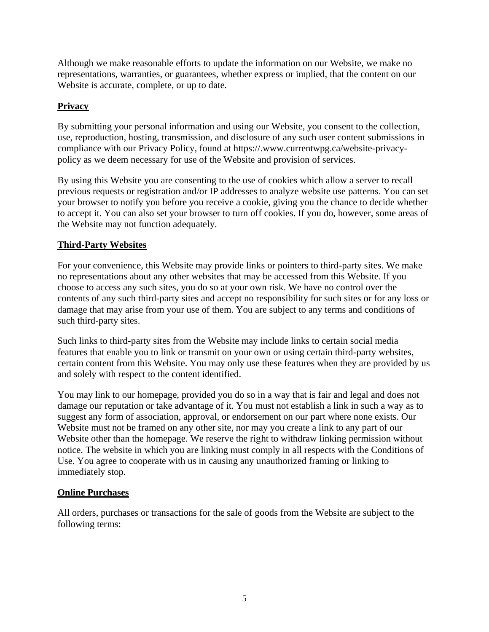Although we make reasonable efforts to update the information on our Website, we make no representations, warranties, or guarantees, whether express or implied, that the content on our Website is accurate, complete, or up to date.

# **Privacy**

By submitting your personal information and using our Website, you consent to the collection, use, reproduction, hosting, transmission, and disclosure of any such user content submissions in compliance with our Privacy Policy, found at https://.www.currentwpg.ca/website-privacypolicy as we deem necessary for use of the Website and provision of services.

By using this Website you are consenting to the use of cookies which allow a server to recall previous requests or registration and/or IP addresses to analyze website use patterns. You can set your browser to notify you before you receive a cookie, giving you the chance to decide whether to accept it. You can also set your browser to turn off cookies. If you do, however, some areas of the Website may not function adequately.

# **Third-Party Websites**

For your convenience, this Website may provide links or pointers to third-party sites. We make no representations about any other websites that may be accessed from this Website. If you choose to access any such sites, you do so at your own risk. We have no control over the contents of any such third-party sites and accept no responsibility for such sites or for any loss or damage that may arise from your use of them. You are subject to any terms and conditions of such third-party sites.

Such links to third-party sites from the Website may include links to certain social media features that enable you to link or transmit on your own or using certain third-party websites, certain content from this Website. You may only use these features when they are provided by us and solely with respect to the content identified.

You may link to our homepage, provided you do so in a way that is fair and legal and does not damage our reputation or take advantage of it. You must not establish a link in such a way as to suggest any form of association, approval, or endorsement on our part where none exists. Our Website must not be framed on any other site, nor may you create a link to any part of our Website other than the homepage. We reserve the right to withdraw linking permission without notice. The website in which you are linking must comply in all respects with the Conditions of Use. You agree to cooperate with us in causing any unauthorized framing or linking to immediately stop.

# **Online Purchases**

All orders, purchases or transactions for the sale of goods from the Website are subject to the following terms: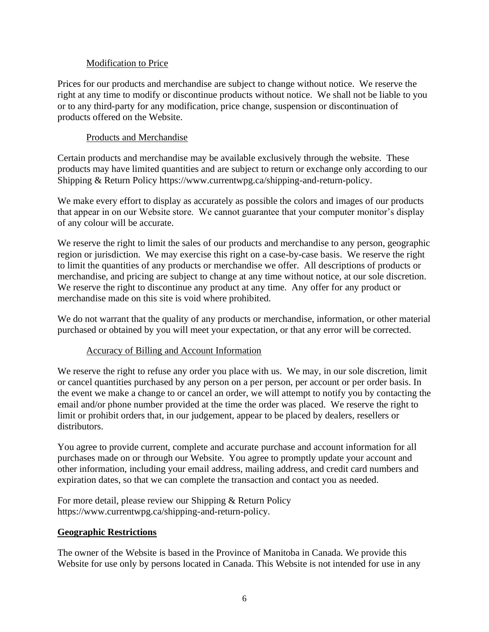## Modification to Price

Prices for our products and merchandise are subject to change without notice. We reserve the right at any time to modify or discontinue products without notice. We shall not be liable to you or to any third-party for any modification, price change, suspension or discontinuation of products offered on the Website.

## Products and Merchandise

Certain products and merchandise may be available exclusively through the website. These products may have limited quantities and are subject to return or exchange only according to our Shipping & Return Policy https://www.currentwpg.ca/shipping-and-return-policy.

We make every effort to display as accurately as possible the colors and images of our products that appear in on our Website store. We cannot guarantee that your computer monitor's display of any colour will be accurate.

We reserve the right to limit the sales of our products and merchandise to any person, geographic region or jurisdiction. We may exercise this right on a case-by-case basis. We reserve the right to limit the quantities of any products or merchandise we offer. All descriptions of products or merchandise, and pricing are subject to change at any time without notice, at our sole discretion. We reserve the right to discontinue any product at any time. Any offer for any product or merchandise made on this site is void where prohibited.

We do not warrant that the quality of any products or merchandise, information, or other material purchased or obtained by you will meet your expectation, or that any error will be corrected.

### Accuracy of Billing and Account Information

We reserve the right to refuse any order you place with us. We may, in our sole discretion, limit or cancel quantities purchased by any person on a per person, per account or per order basis. In the event we make a change to or cancel an order, we will attempt to notify you by contacting the email and/or phone number provided at the time the order was placed. We reserve the right to limit or prohibit orders that, in our judgement, appear to be placed by dealers, resellers or distributors.

You agree to provide current, complete and accurate purchase and account information for all purchases made on or through our Website. You agree to promptly update your account and other information, including your email address, mailing address, and credit card numbers and expiration dates, so that we can complete the transaction and contact you as needed.

For more detail, please review our Shipping & Return Policy https://www.currentwpg.ca/shipping-and-return-policy.

### **Geographic Restrictions**

The owner of the Website is based in the Province of Manitoba in Canada. We provide this Website for use only by persons located in Canada. This Website is not intended for use in any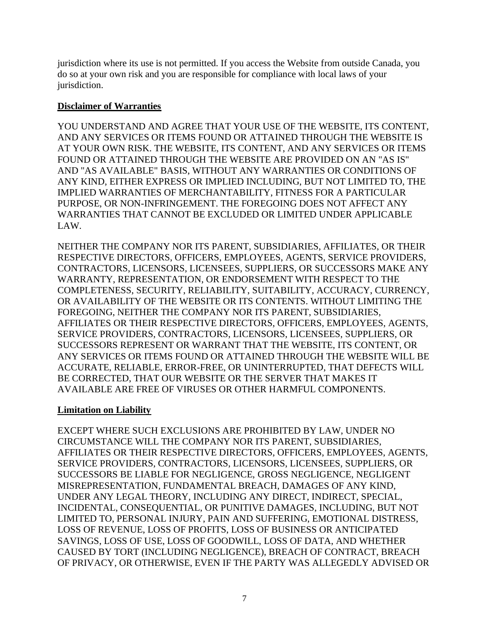jurisdiction where its use is not permitted. If you access the Website from outside Canada, you do so at your own risk and you are responsible for compliance with local laws of your jurisdiction.

## **Disclaimer of Warranties**

YOU UNDERSTAND AND AGREE THAT YOUR USE OF THE WEBSITE, ITS CONTENT, AND ANY SERVICES OR ITEMS FOUND OR ATTAINED THROUGH THE WEBSITE IS AT YOUR OWN RISK. THE WEBSITE, ITS CONTENT, AND ANY SERVICES OR ITEMS FOUND OR ATTAINED THROUGH THE WEBSITE ARE PROVIDED ON AN "AS IS" AND "AS AVAILABLE" BASIS, WITHOUT ANY WARRANTIES OR CONDITIONS OF ANY KIND, EITHER EXPRESS OR IMPLIED INCLUDING, BUT NOT LIMITED TO, THE IMPLIED WARRANTIES OF MERCHANTABILITY, FITNESS FOR A PARTICULAR PURPOSE, OR NON-INFRINGEMENT. THE FOREGOING DOES NOT AFFECT ANY WARRANTIES THAT CANNOT BE EXCLUDED OR LIMITED UNDER APPLICABLE LAW.

NEITHER THE COMPANY NOR ITS PARENT, SUBSIDIARIES, AFFILIATES, OR THEIR RESPECTIVE DIRECTORS, OFFICERS, EMPLOYEES, AGENTS, SERVICE PROVIDERS, CONTRACTORS, LICENSORS, LICENSEES, SUPPLIERS, OR SUCCESSORS MAKE ANY WARRANTY, REPRESENTATION, OR ENDORSEMENT WITH RESPECT TO THE COMPLETENESS, SECURITY, RELIABILITY, SUITABILITY, ACCURACY, CURRENCY, OR AVAILABILITY OF THE WEBSITE OR ITS CONTENTS. WITHOUT LIMITING THE FOREGOING, NEITHER THE COMPANY NOR ITS PARENT, SUBSIDIARIES, AFFILIATES OR THEIR RESPECTIVE DIRECTORS, OFFICERS, EMPLOYEES, AGENTS, SERVICE PROVIDERS, CONTRACTORS, LICENSORS, LICENSEES, SUPPLIERS, OR SUCCESSORS REPRESENT OR WARRANT THAT THE WEBSITE, ITS CONTENT, OR ANY SERVICES OR ITEMS FOUND OR ATTAINED THROUGH THE WEBSITE WILL BE ACCURATE, RELIABLE, ERROR-FREE, OR UNINTERRUPTED, THAT DEFECTS WILL BE CORRECTED, THAT OUR WEBSITE OR THE SERVER THAT MAKES IT AVAILABLE ARE FREE OF VIRUSES OR OTHER HARMFUL COMPONENTS.

# **Limitation on Liability**

EXCEPT WHERE SUCH EXCLUSIONS ARE PROHIBITED BY LAW, UNDER NO CIRCUMSTANCE WILL THE COMPANY NOR ITS PARENT, SUBSIDIARIES, AFFILIATES OR THEIR RESPECTIVE DIRECTORS, OFFICERS, EMPLOYEES, AGENTS, SERVICE PROVIDERS, CONTRACTORS, LICENSORS, LICENSEES, SUPPLIERS, OR SUCCESSORS BE LIABLE FOR NEGLIGENCE, GROSS NEGLIGENCE, NEGLIGENT MISREPRESENTATION, FUNDAMENTAL BREACH, DAMAGES OF ANY KIND, UNDER ANY LEGAL THEORY, INCLUDING ANY DIRECT, INDIRECT, SPECIAL, INCIDENTAL, CONSEQUENTIAL, OR PUNITIVE DAMAGES, INCLUDING, BUT NOT LIMITED TO, PERSONAL INJURY, PAIN AND SUFFERING, EMOTIONAL DISTRESS, LOSS OF REVENUE, LOSS OF PROFITS, LOSS OF BUSINESS OR ANTICIPATED SAVINGS, LOSS OF USE, LOSS OF GOODWILL, LOSS OF DATA, AND WHETHER CAUSED BY TORT (INCLUDING NEGLIGENCE), BREACH OF CONTRACT, BREACH OF PRIVACY, OR OTHERWISE, EVEN IF THE PARTY WAS ALLEGEDLY ADVISED OR